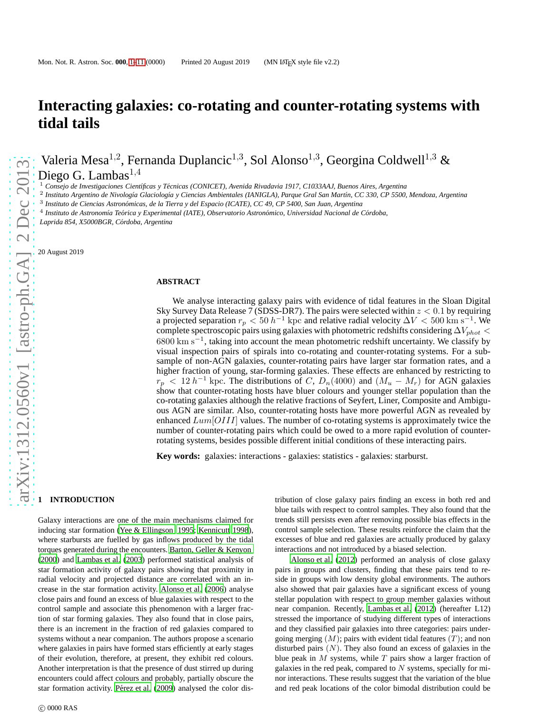# **Interacting galaxies: co-rotating and counter-rotating systems with tidal tails**

Valeria Mesa<sup>1,2</sup>, Fernanda Duplancic<sup>1,3</sup>, Sol Alonso<sup>1,3</sup>, Georgina Coldwell<sup>1,3</sup> &

Diego G. Lambas $^{1,4}$ 

<sup>1</sup> *Consejo de Investigaciones Cient´ıficas y T´ecnicas (CONICET), Avenida Rivadavia 1917, C1033AAJ, Buenos Aires, Argentina*

2 *Instituto Argentino de Nivolog´ıa Glaciolog´ıa y Ciencias Ambientales (IANIGLA), Parque Gral San Mart´ın, CC 330, CP 5500, Mendoza, Argentina*

3 *Instituto de Ciencias Astron´omicas, de la Tierra y del Espacio (ICATE), CC 49, CP 5400, San Juan, Argentina*

4 *Instituto de Astronom´ıa Te´orica y Experimental (IATE), Observatorio Astron´omico, Universidad Nacional de C´ordoba,*

*Laprida 854, X5000BGR, C´ordoba, Argentina*

20 August 2019

### **ABSTRACT**

We analyse interacting galaxy pairs with evidence of tidal features in the Sloan Digital Sky Survey Data Release 7 (SDSS-DR7). The pairs were selected within  $z < 0.1$  by requiring a projected separation  $r_p < 50 h^{-1}$  kpc and relative radial velocity  $\Delta V < 500 \text{ km s}^{-1}$ . We complete spectroscopic pairs using galaxies with photometric redshifts considering  $\Delta V_{phot}$  < 6800 km s<sup>−</sup><sup>1</sup> , taking into account the mean photometric redshift uncertainty. We classify by visual inspection pairs of spirals into co-rotating and counter-rotating systems. For a subsample of non-AGN galaxies, counter-rotating pairs have larger star formation rates, and a higher fraction of young, star-forming galaxies. These effects are enhanced by restricting to  $r_p$  < 12 h<sup>-1</sup> kpc. The distributions of C,  $D_n(4000)$  and  $(M_u - M_r)$  for AGN galaxies show that counter-rotating hosts have bluer colours and younger stellar population than the co-rotating galaxies although the relative fractions of Seyfert, Liner, Composite and Ambiguous AGN are similar. Also, counter-rotating hosts have more powerful AGN as revealed by enhanced  $Lum[OIII]$  values. The number of co-rotating systems is approximately twice the number of counter-rotating pairs which could be owed to a more rapid evolution of counterrotating systems, besides possible different initial conditions of these interacting pairs.

**Key words:** galaxies: interactions - galaxies: statistics - galaxies: starburst.

# arXiv:1312.0560v1 [astro-ph.GA] 2 Dec 2013 [arXiv:1312.0560v1 \[astro-ph.GA\] 2 Dec 2013](http://arxiv.org/abs/1312.0560v1)

### <span id="page-0-0"></span>**1 INTRODUCTION**

Galaxy interactions are one of the main mechanisms claimed for inducing star formation [\(Yee & Ellingson 1995](#page-10-0); [Kennicutt 1998](#page-10-1)), where starbursts are fuelled by gas inflows produced by the tidal torques generated during the encounters. [Barton, Geller & Kenyon](#page-10-2) [\(2000](#page-10-2)) and [Lambas et al. \(2003\)](#page-10-3) performed statistical analysis of star formation activity of galaxy pairs showing that proximity in radial velocity and projected distance are correlated with an increase in the star formation activity. [Alonso et al. \(2006](#page-9-0)) analyse close pairs and found an excess of blue galaxies with respect to the control sample and associate this phenomenon with a larger fraction of star forming galaxies. They also found that in close pairs, there is an increment in the fraction of red galaxies compared to systems without a near companion. The authors propose a scenario where galaxies in pairs have formed stars efficiently at early stages of their evolution, therefore, at present, they exhibit red colours. Another interpretation is that the presence of dust stirred up during encounters could affect colours and probably, partially obscure the star formation activity. Pérez et al. (2009) analysed the color dis-

tribution of close galaxy pairs finding an excess in both red and blue tails with respect to control samples. They also found that the trends still persists even after removing possible bias effects in the control sample selection. These results reinforce the claim that the excesses of blue and red galaxies are actually produced by galaxy interactions and not introduced by a biased selection.

[Alonso et al. \(2012](#page-9-1)) performed an analysis of close galaxy pairs in groups and clusters, finding that these pairs tend to reside in groups with low density global environments. The authors also showed that pair galaxies have a significant excess of young stellar population with respect to group member galaxies without near companion. Recently, [Lambas et al. \(2012](#page-10-5)) (hereafter L12) stressed the importance of studying different types of interactions and they classified pair galaxies into three categories: pairs undergoing merging  $(M)$ ; pairs with evident tidal features  $(T)$ ; and non disturbed pairs  $(N)$ . They also found an excess of galaxies in the blue peak in  $M$  systems, while  $T$  pairs show a larger fraction of galaxies in the red peak, compared to  $N$  systems, specially for minor interactions. These results suggest that the variation of the blue and red peak locations of the color bimodal distribution could be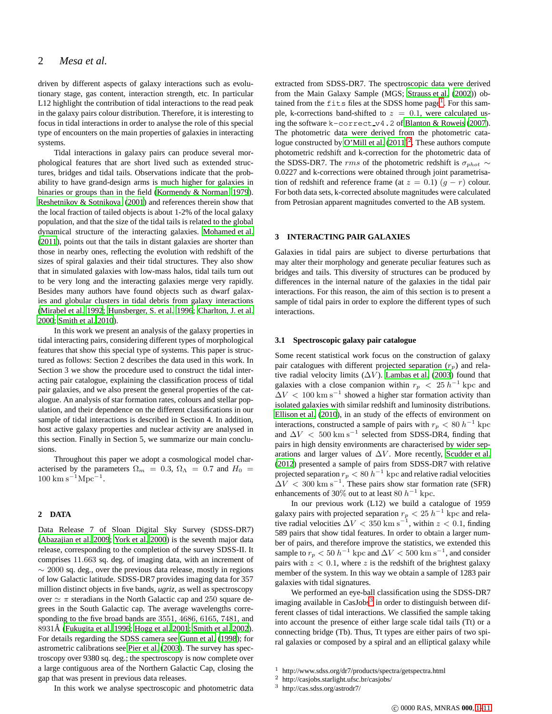## 2 *Mesa et al.*

driven by different aspects of galaxy interactions such as evolutionary stage, gas content, interaction strength, etc. In particular L12 highlight the contribution of tidal interactions to the read peak in the galaxy pairs colour distribution. Therefore, it is interesting to focus in tidal interactions in order to analyse the role of this special type of encounters on the main properties of galaxies in interacting systems.

Tidal interactions in galaxy pairs can produce several morphological features that are short lived such as extended structures, bridges and tidal tails. Observations indicate that the probability to have grand-design arms is much higher for galaxies in binaries or groups than in the field [\(Kormendy & Norman 1979\)](#page-10-6). [Reshetnikov & Sotnikova](#page-10-7) [\(2001](#page-10-7)) and references therein show that the local fraction of tailed objects is about 1-2% of the local galaxy population, and that the size of the tidal tails is related to the global dynamical structure of the interacting galaxies. [Mohamed et al.](#page-10-8) [\(2011\)](#page-10-8), points out that the tails in distant galaxies are shorter than those in nearby ones, reflecting the evolution with redshift of the sizes of spiral galaxies and their tidal structures. They also show that in simulated galaxies with low-mass halos, tidal tails turn out to be very long and the interacting galaxies merge very rapidly. Besides many authors have found objects such as dwarf galaxies and globular clusters in tidal debris from galaxy interactions [\(Mirabel et al. 1992](#page-10-9); [Hunsberger, S. et al. 1996](#page-10-10); [Charlton, J. et al.](#page-10-11) [2000;](#page-10-11) [Smith et al. 2010](#page-10-12)).

In this work we present an analysis of the galaxy properties in tidal interacting pairs, considering different types of morphological features that show this special type of systems. This paper is structured as follows: Section 2 describes the data used in this work. In Section 3 we show the procedure used to construct the tidal interacting pair catalogue, explaining the classification process of tidal pair galaxies, and we also present the general properties of the catalogue. An analysis of star formation rates, colours and stellar population, and their dependence on the different classifications in our sample of tidal interactions is described in Section 4. In addition, host active galaxy properties and nuclear activity are analysed in this section. Finally in Section 5, we summarize our main conclusions.

Throughout this paper we adopt a cosmological model characterised by the parameters  $\Omega_m = 0.3$ ,  $\Omega_{\Lambda} = 0.7$  and  $H_0 =$  $100 \text{ km s}^{-1} \text{Mpc}^{-1}$ .

### **2 DATA**

Data Release 7 of Sloan Digital Sky Survey (SDSS-DR7) [\(Abazajian et al. 2009;](#page-9-2) [York et al. 2000\)](#page-10-13) is the seventh major data release, corresponding to the completion of the survey SDSS-II. It comprises 11.663 sq. deg. of imaging data, with an increment of ∼ 2000 sq. deg., over the previous data release, mostly in regions of low Galactic latitude. SDSS-DR7 provides imaging data for 357 million distinct objects in five bands, *ugriz*, as well as spectroscopy over  $\simeq \pi$  steradians in the North Galactic cap and 250 square degrees in the South Galactic cap. The average wavelengths corresponding to the five broad bands are 3551, 4686, 6165, 7481, and 8931Å [\(Fukugita et al. 1996](#page-10-14); [Hogg et al. 2001](#page-10-15); [Smith et al. 2002](#page-10-16)). For details regarding the SDSS camera see [Gunn et al. \(1998\)](#page-10-17); for astrometric calibrations see [Pier et al. \(2003](#page-10-18)). The survey has spectroscopy over 9380 sq. deg.; the spectroscopy is now complete over a large contiguous area of the Northern Galactic Cap, closing the gap that was present in previous data releases.

In this work we analyse spectroscopic and photometric data

extracted from SDSS-DR7. The spectroscopic data were derived from the Main Galaxy Sample (MGS; [Strauss et al.](#page-10-19) [\(2002](#page-10-19))) obtained from the  $fits$  files at the SDSS home page<sup>[1](#page-1-0)</sup>. For this sample, k-corrections band-shifted to  $z = 0.1$ , were calculated using the software k-correct v4.2 of [Blanton & Roweis \(2007](#page-10-20)). The photometric data were derived from the photometric cata-logue constructed by [O'Mill et al.](#page-10-21)  $(2011)^2$  $(2011)^2$  $(2011)^2$ . These authors compute photometric redshift and k-correction for the photometric data of the SDSS-DR7. The rms of the photometric redshift is  $\sigma_{phot} \sim$ 0.0227 and k-corrections were obtained through joint parametrisation of redshift and reference frame (at  $z = 0.1$ )  $(g - r)$  colour. For both data sets, k-corrected absolute magnitudes were calculated from Petrosian apparent magnitudes converted to the AB system.

### **3 INTERACTING PAIR GALAXIES**

Galaxies in tidal pairs are subject to diverse perturbations that may alter their morphology and generate peculiar features such as bridges and tails. This diversity of structures can be produced by differences in the internal nature of the galaxies in the tidal pair interactions. For this reason, the aim of this section is to present a sample of tidal pairs in order to explore the different types of such interactions.

### **3.1 Spectroscopic galaxy pair catalogue**

Some recent statistical work focus on the construction of galaxy pair catalogues with different projected separation  $(r_p)$  and relative radial velocity limits ( $\Delta V$ ). [Lambas et al. \(2003](#page-10-3)) found that galaxies with a close companion within  $r_p < 25 h^{-1}$  kpc and  $\Delta V$  < 100 km s<sup>-1</sup> showed a higher star formation activity than isolated galaxies with similar redshift and luminosity distributions. [Ellison et al. \(2010](#page-10-22)), in an study of the effects of environment on interactions, constructed a sample of pairs with  $r_p < 80 h^{-1}$  kpc and  $\Delta V$  < 500 km s<sup>-1</sup> selected from SDSS-DR4, finding that pairs in high density environments are characterised by wider separations and larger values of  $\Delta V$ . More recently, [Scudder et al.](#page-10-23) [\(2012](#page-10-23)) presented a sample of pairs from SDSS-DR7 with relative projected separation  $r_p < 80 h^{-1}$  kpc and relative radial velocities  $\Delta V$  < 300 km s<sup>-1</sup>. These pairs show star formation rate (SFR) enhancements of 30% out to at least 80  $h^{-1}$  kpc.

In our previous work (L12) we build a catalogue of 1959 galaxy pairs with projected separation  $r_p < 25 h^{-1}$  kpc and relative radial velocities  $\Delta V < 350$  km s<sup>-1</sup>, within  $z < 0.1$ , finding 589 pairs that show tidal features. In order to obtain a larger number of pairs, and therefore improve the statistics, we extended this sample to  $r_p < 50 h^{-1}$  kpc and  $\Delta V < 500 \text{ km s}^{-1}$ , and consider pairs with  $z < 0.1$ , where z is the redshift of the brightest galaxy member of the system. In this way we obtain a sample of 1283 pair galaxies with tidal signatures.

We performed an eye-ball classification using the SDSS-DR7 imaging available in CasJobs<sup>[3](#page-1-2)</sup> in order to distinguish between different classes of tidal interactions. We classified the sample taking into account the presence of either large scale tidal tails (Tt) or a connecting bridge (Tb). Thus, Tt types are either pairs of two spiral galaxies or composed by a spiral and an elliptical galaxy while

<sup>1</sup> http://www.sdss.org/dr7/products/spectra/getspectra.html

<span id="page-1-2"></span><span id="page-1-1"></span><span id="page-1-0"></span><sup>2</sup> http://casjobs.starlight.ufsc.br/casjobs/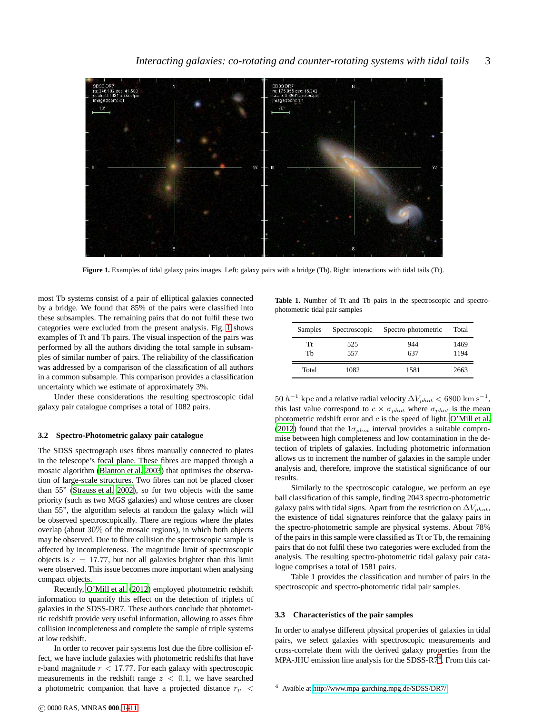

<span id="page-2-0"></span>**Figure 1.** Examples of tidal galaxy pairs images. Left: galaxy pairs with a bridge (Tb). Right: interactions with tidal tails (Tt).

most Tb systems consist of a pair of elliptical galaxies connected by a bridge. We found that 85% of the pairs were classified into these subsamples. The remaining pairs that do not fulfil these two categories were excluded from the present analysis. Fig. [1](#page-2-0) shows examples of Tt and Tb pairs. The visual inspection of the pairs was performed by all the authors dividing the total sample in subsamples of similar number of pairs. The reliability of the classification was addressed by a comparison of the classification of all authors in a common subsample. This comparison provides a classification uncertainty which we estimate of approximately 3%.

Under these considerations the resulting spectroscopic tidal galaxy pair catalogue comprises a total of 1082 pairs.

### **3.2 Spectro-Photometric galaxy pair catalogue**

The SDSS spectrograph uses fibres manually connected to plates in the telescope's focal plane. These fibres are mapped through a mosaic algorithm [\(Blanton et al. 2003\)](#page-10-24) that optimises the observation of large-scale structures. Two fibres can not be placed closer than 55" [\(Strauss et al. 2002\)](#page-10-19), so for two objects with the same priority (such as two MGS galaxies) and whose centres are closer than 55", the algorithm selects at random the galaxy which will be observed spectroscopically. There are regions where the plates overlap (about 30% of the mosaic regions), in which both objects may be observed. Due to fibre collision the spectroscopic sample is affected by incompleteness. The magnitude limit of spectroscopic objects is  $r = 17.77$ , but not all galaxies brighter than this limit were observed. This issue becomes more important when analysing compact objects.

Recently, [O'Mill et al. \(2012](#page-10-25)) employed photometric redshift information to quantify this effect on the detection of triplets of galaxies in the SDSS-DR7. These authors conclude that photometric redshift provide very useful information, allowing to asses fibre collision incompleteness and complete the sample of triple systems at low redshift.

In order to recover pair systems lost due the fibre collision effect, we have include galaxies with photometric redshifts that have r-band magnitude  $r < 17.77$ . For each galaxy with spectroscopic measurements in the redshift range  $z < 0.1$ , we have searched a photometric companion that have a projected distance  $r_p$  <

**Table 1.** Number of Tt and Tb pairs in the spectroscopic and spectrophotometric tidal pair samples

| Samples  | Spectroscopic | Spectro-photometric | Total        |
|----------|---------------|---------------------|--------------|
| Тt<br>Th | 525<br>557    | 944<br>637          | 1469<br>1194 |
| Total    | 1082          | 1581                | 2663         |

 $50 h^{-1}$  kpc and a relative radial velocity  $\Delta V_{phot} < 6800 \text{ km s}^{-1}$ , this last value correspond to  $c \times \sigma_{phot}$  where  $\sigma_{phot}$  is the mean photometric redshift error and  $c$  is the speed of light. [O'Mill et al.](#page-10-25) [\(2012](#page-10-25)) found that the  $1\sigma_{phot}$  interval provides a suitable compromise between high completeness and low contamination in the detection of triplets of galaxies. Including photometric information allows us to increment the number of galaxies in the sample under analysis and, therefore, improve the statistical significance of our results.

Similarly to the spectroscopic catalogue, we perform an eye ball classification of this sample, finding 2043 spectro-photometric galaxy pairs with tidal signs. Apart from the restriction on  $\Delta V_{phot}$ , the existence of tidal signatures reinforce that the galaxy pairs in the spectro-photometric sample are physical systems. About 78% of the pairs in this sample were classified as Tt or Tb, the remaining pairs that do not fulfil these two categories were excluded from the analysis. The resulting spectro-photometric tidal galaxy pair catalogue comprises a total of 1581 pairs.

Table 1 provides the classification and number of pairs in the spectroscopic and spectro-photometric tidal pair samples.

### **3.3 Characteristics of the pair samples**

In order to analyse different physical properties of galaxies in tidal pairs, we select galaxies with spectroscopic measurements and cross-correlate them with the derived galaxy properties from the MPA-JHU emission line analysis for the SDSS-R $\overline{7}^4$  $\overline{7}^4$ . From this cat-

<span id="page-2-1"></span><sup>4</sup> Avaible at<http://www.mpa-garching.mpg.de/SDSS/DR7/>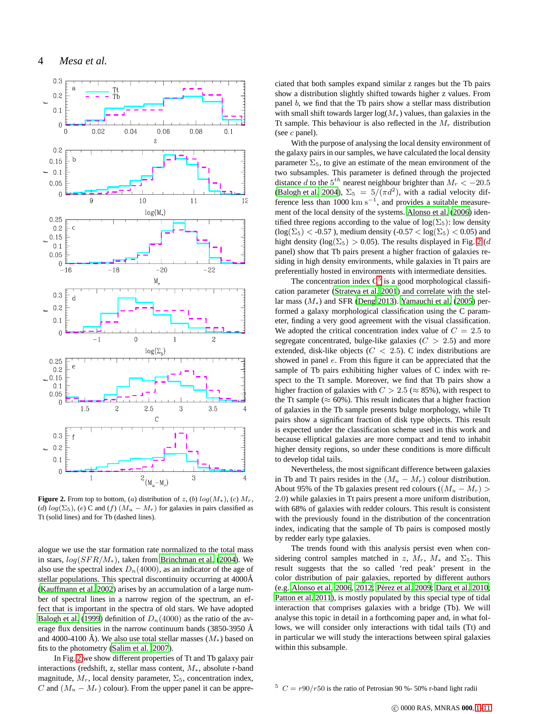

<span id="page-3-0"></span>**Figure 2.** From top to bottom, (a) distribution of z, (b)  $log(M_*)$ , (c)  $M_r$ , (d)  $log(\Sigma_5)$ , (e) C and (f)  $(M_u - M_r)$  for galaxies in pairs classified as Tt (solid lines) and for Tb (dashed lines).

alogue we use the star formation rate normalized to the total mass in stars,  $log(SFR/M_*)$ , taken from [Brinchman et al. \(2004](#page-10-26)). We also use the spectral index  $D_n(4000)$ , as an indicator of the age of stellar populations. This spectral discontinuity occurring at 4000Å [\(Kauffmann et al. 2002](#page-10-27)) arises by an accumulation of a large number of spectral lines in a narrow region of the spectrum, an effect that is important in the spectra of old stars. We have adopted [Balogh et al. \(1999](#page-9-3)) definition of  $D_n(4000)$  as the ratio of the average flux densities in the narrow continuum bands (3850-3950  $\AA$ ) and 4000-4100 Å). We also use total stellar masses  $(M_*)$  based on fits to the photometry [\(Salim et al. 2007](#page-10-28)).

In Fig. [2](#page-3-0) we show different properties of Tt and Tb galaxy pair interactions (redshift, z, stellar mass content, M∗, absolute r-band magnitude,  $M_r$ , local density parameter,  $\Sigma_5$ , concentration index, C and  $(M_u - M_r)$  colour). From the upper panel it can be appreciated that both samples expand similar z ranges but the Tb pairs show a distribution slightly shifted towards higher z values. From panel b, we find that the Tb pairs show a stellar mass distribution with small shift towards larger  $log(M_*)$  values, than galaxies in the Tt sample. This behaviour is also reflected in the  $M_r$  distribution (see  $c$  panel).

With the purpose of analysing the local density environment of the galaxy pairs in our samples, we have calculated the local density parameter  $\Sigma_5$ , to give an estimate of the mean environment of the two subsamples. This parameter is defined through the projected distance d to the  $5^{th}$  nearest neighbour brighter than  $M_r < -20.5$ [\(Balogh et al. 2004](#page-10-29)),  $\Sigma_5 = 5/(\pi d^2)$ , with a radial velocity difference less than 1000  $\text{km s}^{-1}$ , and provides a suitable measurement of the local density of the systems. [Alonso et al.](#page-9-0) [\(2006](#page-9-0)) identified three regions according to the value of  $log(\Sigma_5)$ : low density  $(\log(\Sigma_5) < -0.57)$ , medium density  $(-0.57 < \log(\Sigma_5) < 0.05)$  and hight density (log( $\Sigma_5$ ) > 0.05). The results displayed in Fig. [2](#page-3-0) (d) panel) show that Tb pairs present a higher fraction of galaxies residing in high density environments, while galaxies in Tt pairs are preferentially hosted in environments with intermediate densities.

The concentration index  $C<sup>5</sup>$  $C<sup>5</sup>$  $C<sup>5</sup>$  is a good morphological classification parameter [\(Strateva et al. 2001\)](#page-10-30) and correlate with the stellar mass  $(M_*)$  and SFR [\(Deng 2013](#page-10-31)). [Yamauchi et al. \(2005](#page-10-32)) performed a galaxy morphological classification using the C parameter, finding a very good agreement with the visual classification. We adopted the critical concentration index value of  $C = 2.5$  to segregate concentrated, bulge-like galaxies  $(C > 2.5)$  and more extended, disk-like objects ( $C < 2.5$ ). C index distributions are showed in panel e. From this figure it can be appreciated that the sample of Tb pairs exhibiting higher values of C index with respect to the Tt sample. Moreover, we find that Tb pairs show a higher fraction of galaxies with  $C > 2.5 \approx 85\%$ ), with respect to the Tt sample ( $\approx 60\%$ ). This result indicates that a higher fraction of galaxies in the Tb sample presents bulge morphology, while Tt pairs show a significant fraction of disk type objects. This result is expected under the classification scheme used in this work and because elliptical galaxies are more compact and tend to inhabit higher density regions, so under these conditions is more difficult to develop tidal tails.

Nevertheless, the most significant difference between galaxies in Tb and Tt pairs resides in the  $(M_u - M_r)$  colour distribution. About 95% of the Tb galaxies present red colours  $((M_u - M_r) >$ 2.0) while galaxies in Tt pairs present a more uniform distribution, with 68% of galaxies with redder colours. This result is consistent with the previously found in the distribution of the concentration index, indicating that the sample of Tb pairs is composed mostly by redder early type galaxies.

The trends found with this analysis persist even when considering control samples matched in z,  $M_r$ ,  $M_*$  and  $\Sigma_5$ . This result suggests that the so called 'red peak' present in the color distribution of pair galaxies, reported by different authors (e.g. [Alonso et al. 2006](#page-9-0), [2012;](#page-9-1) Pérez et al. 2009; [Darg et al.](#page-10-33) [2010;](#page-10-33) [Patton et al. 2011\)](#page-10-34), is mostly populated by this special type of tidal interaction that comprises galaxies with a bridge (Tb). We will analyse this topic in detail in a forthcoming paper and, in what follows, we will consider only interactions with tidal tails (Tt) and in particular we will study the interactions between spiral galaxies within this subsample.

<span id="page-3-1"></span> $5\,C = r90/r50$  is the ratio of Petrosian 90 %-50% r-band light radii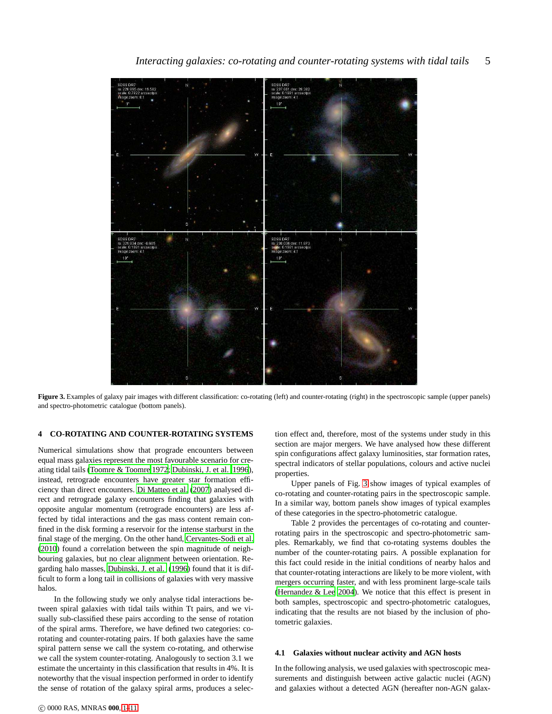

<span id="page-4-0"></span>Figure 3. Examples of galaxy pair images with different classification: co-rotating (left) and counter-rotating (right) in the spectroscopic sample (upper panels) and spectro-photometric catalogue (bottom panels).

### **4 CO-ROTATING AND COUNTER-ROTATING SYSTEMS**

Numerical simulations show that prograde encounters between equal mass galaxies represent the most favourable scenario for creating tidal tails [\(Toomre & Toomre 1972](#page-10-35); [Dubinski, J. et al. 1996\)](#page-10-36), instead, retrograde encounters have greater star formation efficiency than direct encounters. [Di Matteo et al. \(2007\)](#page-10-37) analysed direct and retrograde galaxy encounters finding that galaxies with opposite angular momentum (retrograde encounters) are less affected by tidal interactions and the gas mass content remain confined in the disk forming a reservoir for the intense starburst in the final stage of the merging. On the other hand, [Cervantes-Sodi](#page-10-38) et al. [\(2010\)](#page-10-38) found a correlation between the spin magnitude of neighbouring galaxies, but no clear alignment between orientation. Regarding halo masses, [Dubinski, J. et al. \(1996\)](#page-10-36) found that it is difficult to form a long tail in collisions of galaxies with very massive halos.

In the following study we only analyse tidal interactions between spiral galaxies with tidal tails within Tt pairs, and we visually sub-classified these pairs according to the sense of rotation of the spiral arms. Therefore, we have defined two categories: corotating and counter-rotating pairs. If both galaxies have the same spiral pattern sense we call the system co-rotating, and otherwise we call the system counter-rotating. Analogously to section 3.1 we estimate the uncertainty in this classification that results in 4%. It is noteworthy that the visual inspection performed in order to identify the sense of rotation of the galaxy spiral arms, produces a selection effect and, therefore, most of the systems under study in this section are major mergers. We have analysed how these different spin configurations affect galaxy luminosities, star formation rates, spectral indicators of stellar populations, colours and active nuclei properties.

Upper panels of Fig. [3](#page-4-0) show images of typical examples of co-rotating and counter-rotating pairs in the spectroscopic sample. In a similar way, bottom panels show images of typical examples of these categories in the spectro-photometric catalogue.

Table 2 provides the percentages of co-rotating and counterrotating pairs in the spectroscopic and spectro-photometric samples. Remarkably, we find that co-rotating systems doubles the number of the counter-rotating pairs. A possible explanation for this fact could reside in the initial conditions of nearby halos and that counter-rotating interactions are likely to be more violent, with mergers occurring faster, and with less prominent large-scale tails [\(Hernandez & Lee 2004](#page-10-39)). We notice that this effect is present in both samples, spectroscopic and spectro-photometric catalogues, indicating that the results are not biased by the inclusion of photometric galaxies.

### **4.1 Galaxies without nuclear activity and AGN hosts**

In the following analysis, we used galaxies with spectroscopic measurements and distinguish between active galactic nuclei (AGN) and galaxies without a detected AGN (hereafter non-AGN galax-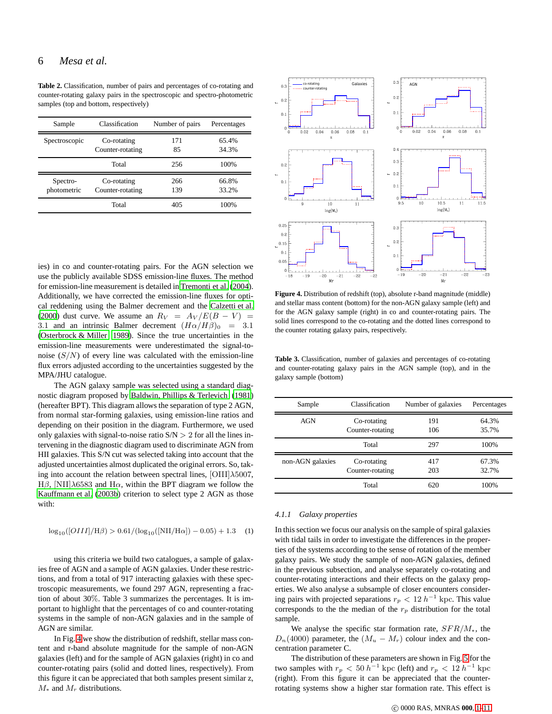**Table 2.** Classification, number of pairs and percentages of co-rotating and counter-rotating galaxy pairs in the spectroscopic and spectro-photometric samples (top and bottom, respectively)

| Sample                  | Classification                  | Number of pairs | Percentages    |
|-------------------------|---------------------------------|-----------------|----------------|
| Spectroscopic           | Co-rotating<br>Counter-rotating | 171<br>85       | 65.4%<br>34.3% |
|                         | Total                           | 256             | 100%           |
| Spectro-<br>photometric | Co-rotating<br>Counter-rotating | 266<br>139      | 66.8%<br>33.2% |
|                         | Total                           | 405             | 100%           |

ies) in co and counter-rotating pairs. For the AGN selection we use the publicly available SDSS emission-line fluxes. The method for emission-line measurement is detailed in [Tremonti et al. \(2004](#page-10-40)). Additionally, we have corrected the emission-line fluxes for optical reddening using the Balmer decrement and the [Calzetti et](#page-10-41) al. [\(2000\)](#page-10-41) dust curve. We assume an  $R_V = A_V / E(B - V)$  = 3.1 and an intrinsic Balmer decrement  $(H\alpha/H\beta)_0$  = 3.1 [\(Osterbrock & Miller 1989](#page-10-42)). Since the true uncertainties in the emission-line measurements were underestimated the signal-tonoise  $(S/N)$  of every line was calculated with the emission-line flux errors adjusted according to the uncertainties suggested by the MPA/JHU catalogue.

The AGN galaxy sample was selected using a standard diagnostic diagram proposed by [Baldwin, Phillips & Terlevich \(1981](#page-9-4)) (hereafter BPT). This diagram allows the separation of type 2 AGN, from normal star-forming galaxies, using emission-line ratios and depending on their position in the diagram. Furthermore, we used only galaxies with signal-to-noise ratio  $S/N > 2$  for all the lines intervening in the diagnostic diagram used to discriminate AGN from HII galaxies. This S/N cut was selected taking into account that the adjusted uncertainties almost duplicated the original errors. So, taking into account the relation between spectral lines,  $[OIII]\lambda5007$ , Hβ, [NII] $\lambda$ 6583 and Hα, within the BPT diagram we follow the [Kauffmann et al. \(2003b\)](#page-10-43) criterion to select type 2 AGN as those with:

$$
\log_{10}([OIII]/\text{H}\beta) > 0.61/(\log_{10}([\text{NII}/\text{H}\alpha]) - 0.05) + 1.3 \quad (1)
$$

using this criteria we build two catalogues, a sample of galaxies free of AGN and a sample of AGN galaxies. Under these restrictions, and from a total of 917 interacting galaxies with these spectroscopic measurements, we found 297 AGN, representing a fraction of about 30%. Table 3 summarizes the percentages. It is important to highlight that the percentages of co and counter-rotating systems in the sample of non-AGN galaxies and in the sample of AGN are similar.

In Fig. [4](#page-5-0) we show the distribution of redshift, stellar mass content and r-band absolute magnitude for the sample of non-AGN galaxies (left) and for the sample of AGN galaxies (right) in co and counter-rotating pairs (solid and dotted lines, respectively). From this figure it can be appreciated that both samples present similar z,  $M_*$  and  $M_r$  distributions.



<span id="page-5-0"></span>**Figure 4.** Distribution of redshift (top), absolute r-band magnitude (middle) and stellar mass content (bottom) for the non-AGN galaxy sample (left) and for the AGN galaxy sample (right) in co and counter-rotating pairs. The solid lines correspond to the co-rotating and the dotted lines correspond to the counter rotating galaxy pairs, respectively.

**Table 3.** Classification, number of galaxies and percentages of co-rotating and counter-rotating galaxy pairs in the AGN sample (top), and in the galaxy sample (bottom)

| Sample           | Classification                  | Number of galaxies | Percentages    |
|------------------|---------------------------------|--------------------|----------------|
| AGN              | Co-rotating<br>Counter-rotating | 191<br>106         | 64.3%<br>35.7% |
|                  | Total                           | 297                | 100%           |
| non-AGN galaxies | Co-rotating<br>Counter-rotating | 417<br>203         | 67.3%<br>32.7% |
|                  | Total                           | 620                | 100%           |

### *4.1.1 Galaxy properties*

In this section we focus our analysis on the sample of spiral galaxies with tidal tails in order to investigate the differences in the properties of the systems according to the sense of rotation of the member galaxy pairs. We study the sample of non-AGN galaxies, defined in the previous subsection, and analyse separately co-rotating and counter-rotating interactions and their effects on the galaxy properties. We also analyse a subsample of closer encounters considering pairs with projected separations  $r_p < 12 h^{-1}$  kpc. This value corresponds to the the median of the  $r_p$  distribution for the total sample.

We analyse the specific star formation rate,  $SFR/M_*$ , the  $D_n(4000)$  parameter, the  $(M_u - M_r)$  colour index and the concentration parameter C.

The distribution of these parameters are shown in Fig. [5](#page-7-0) for the two samples with  $r_p < 50 h^{-1}$  kpc (left) and  $r_p < 12 h^{-1}$  kpc (right). From this figure it can be appreciated that the counterrotating systems show a higher star formation rate. This effect is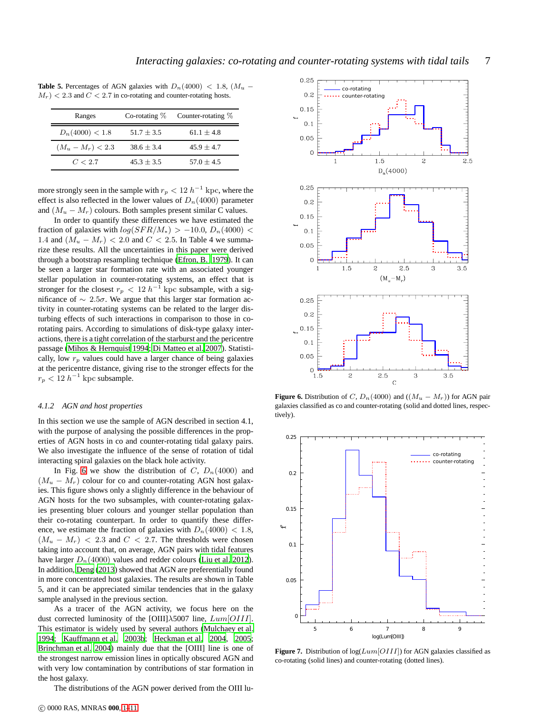**Table 5.** Percentages of AGN galaxies with  $D_n(4000) < 1.8$ ,  $(M_u M_r$ ) < 2.3 and  $C$  < 2.7 in co-rotating and counter-rotating hosts.

| Ranges              | Co-rotating $\%$ | Counter-rotating $\%$ |  |
|---------------------|------------------|-----------------------|--|
| $D_n(4000) < 1.8$   | $51.7 \pm 3.5$   | $61.1 + 4.8$          |  |
| $(M_u - M_r) < 2.3$ | $386 + 34$       | $45.9 + 4.7$          |  |
| C < 2.7             | $45.3 + 3.5$     | $57.0 + 4.5$          |  |

more strongly seen in the sample with  $r_p < 12 h^{-1}$  kpc, where the effect is also reflected in the lower values of  $D_n(4000)$  parameter and  $(M_u - M_r)$  colours. Both samples present similar C values.

In order to quantify these differences we have estimated the fraction of galaxies with  $log(SFR/M_*)$  > -10.0,  $D_n(4000)$  < 1.4 and  $(M_u - M_r)$  < 2.0 and  $C$  < 2.5. In Table 4 we summarize these results. All the uncertainties in this paper were derived through a bootstrap resampling technique [\(Efron, B. 1979](#page-10-44)). It can be seen a larger star formation rate with an associated younger stellar population in counter-rotating systems, an effect that is stronger for the closest  $r_p < 12 h^{-1}$  kpc subsample, with a significance of  $\sim 2.5\sigma$ . We argue that this larger star formation activity in counter-rotating systems can be related to the larger disturbing effects of such interactions in comparison to those in corotating pairs. According to simulations of disk-type galaxy interactions, there is a tight correlation of the starburst and the pericentre passage [\(Mihos & Hernquist 1994](#page-10-45); [Di Matteo et al. 2007](#page-10-37)). Statistically, low  $r_p$  values could have a larger chance of being galaxies at the pericentre distance, giving rise to the stronger effects for the  $r_p < 12 h^{-1}$  kpc subsample.

### *4.1.2 AGN and host properties*

c 0000 RAS, MNRAS **000**, [1–](#page-0-0)11

In this section we use the sample of AGN described in section 4.1, with the purpose of analysing the possible differences in the properties of AGN hosts in co and counter-rotating tidal galaxy pairs. We also investigate the influence of the sense of rotation of tidal interacting spiral galaxies on the black hole activity.

In Fig. [6](#page-6-0) we show the distribution of C,  $D_n(4000)$  and  $(M_u - M_r)$  colour for co and counter-rotating AGN host galaxies. This figure shows only a slightly difference in the behaviour of AGN hosts for the two subsamples, with counter-rotating galaxies presenting bluer colours and younger stellar population than their co-rotating counterpart. In order to quantify these difference, we estimate the fraction of galaxies with  $D_n(4000) < 1.8$ ,  $(M_u - M_r)$  < 2.3 and  $C$  < 2.7. The thresholds were chosen taking into account that, on average, AGN pairs with tidal features have larger  $D_n(4000)$  values and redder colours [\(Liu et al. 2012](#page-10-46)). In addition, [Deng \(2013](#page-10-31)) showed that AGN are preferentially found in more concentrated host galaxies. The results are shown in Table 5, and it can be appreciated similar tendencies that in the galaxy sample analysed in the previous section.

As a tracer of the AGN activity, we focus here on the dust corrected luminosity of the [OIII] $\lambda$ 5007 line, Lum[OIII]. This estimator is widely used by several authors [\(Mulchaey et al.](#page-10-47) [1994](#page-10-47); [Kauffmann et al. 2003b;](#page-10-43) [Heckman et al. 2004,](#page-10-48) [2005;](#page-10-49) [Brinchman et al. 2004](#page-10-26)) mainly due that the [OIII] line is one of the strongest narrow emission lines in optically obscured AGN and with very low contamination by contributions of star formation in the host galaxy.

The distributions of the AGN power derived from the OIII lu-



<span id="page-6-0"></span>**Figure 6.** Distribution of C,  $D_n(4000)$  and  $((M_u - M_r))$  for AGN pair galaxies classified as co and counter-rotating (solid and dotted lines, respectively).



<span id="page-6-1"></span>**Figure 7.** Distribution of  $log(Lum[OIII])$  for AGN galaxies classified as co-rotating (solid lines) and counter-rotating (dotted lines).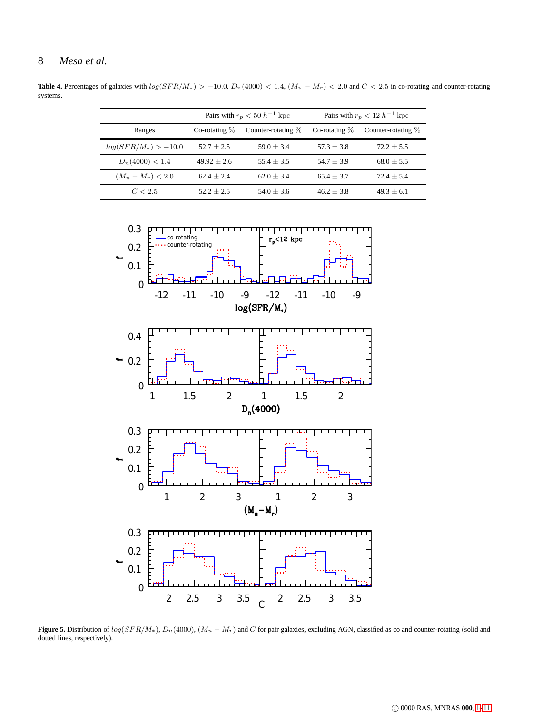# 8 *Mesa et al.*

Table 4. Percentages of galaxies with  $log(SFR/M_*)$  > -10.0,  $D_n(4000)$  < 1.4,  $(M_u - M_r)$  < 2.0 and  $C$  < 2.5 in co-rotating and counter-rotating systems.

|                        | Pairs with $r_p < 50 h^{-1}$ kpc |                      | Pairs with $r_p < 12 h^{-1}$ kpc |                      |
|------------------------|----------------------------------|----------------------|----------------------------------|----------------------|
| Ranges                 | Co-rotating $%$                  | Counter-rotating $%$ | Co-rotating $%$                  | Counter-rotating $%$ |
| $log(SFR/M_*) > -10.0$ | $52.7 + 2.5$                     | $59.0 + 3.4$         | $57.3 + 3.8$                     | $72.2 \pm 5.5$       |
| $D_n(4000) < 1.4$      | $49.92 + 2.6$                    | $55.4 + 3.5$         | $54.7 + 3.9$                     | $68.0 \pm 5.5$       |
| $(M_u - M_r) < 2.0$    | $62.4 + 2.4$                     | $62.0 + 3.4$         | $65.4 + 3.7$                     | $72.4 + 5.4$         |
| C < 2.5                | $52.2 + 2.5$                     | $54.0 + 3.6$         | $46.2 + 3.8$                     | $49.3 + 6.1$         |



<span id="page-7-0"></span>**Figure 5.** Distribution of  $log(SFR/M_*)$ ,  $D_n(4000)$ ,  $(M_u - M_r)$  and C for pair galaxies, excluding AGN, classified as co and counter-rotating (solid and dotted lines, respectively).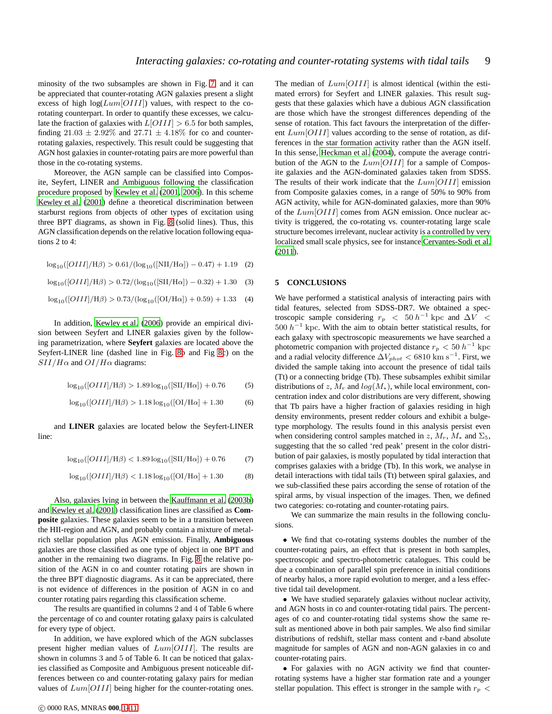minosity of the two subsamples are shown in Fig. [7,](#page-6-1) and it can be appreciated that counter-rotating AGN galaxies present a slight excess of high  $log(Lum[OIII])$  values, with respect to the corotating counterpart. In order to quantify these excesses, we calculate the fraction of galaxies with  $L[OIII] > 6.5$  for both samples, finding  $21.03 \pm 2.92\%$  and  $27.71 \pm 4.18\%$  for co and counterrotating galaxies, respectively. This result could be suggesting that AGN host galaxies in counter-rotating pairs are more powerful than those in the co-rotating systems.

Moreover, the AGN sample can be classified into Composite, Seyfert, LINER and Ambiguous following the classification procedure proposed by [Kewley et al. \(2001](#page-10-50), [2006\)](#page-10-51). In this scheme [Kewley et al. \(2001\)](#page-10-50) define a theoretical discrimination between starburst regions from objects of other types of excitation using three BPT diagrams, as shown in Fig. [8](#page-9-5) (solid lines). Thus, this AGN classification depends on the relative location following equations 2 to 4:

 $\log_{10}([OIII]/\text{H}\beta) > 0.61/(\log_{10}([NII/\text{H}\alpha]) - 0.47) + 1.19$  (2)

 $\log_{10}([OIII]/\text{H}\beta) > 0.72/(\log_{10}([SII/\text{H}\alpha]) - 0.32) + 1.30$  (3)

 $\log_{10}([OIII]/\text{H}\beta) > 0.73/(\log_{10}([OI/\text{H}\alpha]) + 0.59) + 1.33$  (4)

In addition, [Kewley et al. \(2006\)](#page-10-51) provide an empirical division between Seyfert and LINER galaxies given by the following parametrization, where **Seyfert** galaxies are located above the Seyfert-LINER line (dashed line in Fig. [8b](#page-9-5) and Fig [8c](#page-9-5)) on the  $SII/H\alpha$  and  $OI/H\alpha$  diagrams:

$$
\log_{10}([OIII]/\text{H}\beta) > 1.89 \log_{10}([SII/\text{H}\alpha]) + 0.76 \tag{5}
$$

$$
\log_{10}([OIII]/\text{H}\beta) > 1.18 \log_{10}([OI/\text{H}\alpha] + 1.30 \tag{6}
$$

and **LINER** galaxies are located below the Seyfert-LINER line:

$$
\log_{10}([OIII]/\text{H}\beta) < 1.89 \log_{10}([SII/\text{H}\alpha]) + 0.76 \tag{7}
$$

$$
\log_{10}([OIII]/\text{H}\beta) < 1.18 \log_{10}([OI/\text{H}\alpha] + 1.30 \tag{8}
$$

Also, galaxies lying in between the [Kauffmann et al. \(2003b](#page-10-43)) and [Kewley et al.](#page-10-50) [\(2001](#page-10-50)) classification lines are classified as **Composite** galaxies. These galaxies seem to be in a transition between the HII-region and AGN, and probably contain a mixture of metalrich stellar population plus AGN emission. Finally, **Ambiguous** galaxies are those classified as one type of object in one BPT and another in the remaining two diagrams. In Fig. [8](#page-9-5) the relative position of the AGN in co and counter rotating pairs are shown in the three BPT diagnostic diagrams. As it can be appreciated, there is not evidence of differences in the position of AGN in co and counter rotating pairs regarding this classification scheme.

The results are quantified in columns 2 and 4 of Table 6 where the percentage of co and counter rotating galaxy pairs is calculated for every type of object.

In addition, we have explored which of the AGN subclasses present higher median values of Lum[OIII]. The results are shown in columns 3 and 5 of Table 6. It can be noticed that galaxies classified as Composite and Ambiguous present noticeable differences between co and counter-rotating galaxy pairs for median values of  $Lum[OIII]$  being higher for the counter-rotating ones.

c 0000 RAS, MNRAS **000**, [1–](#page-0-0)11

The median of  $Lum[OIII]$  is almost identical (within the estimated errors) for Seyfert and LINER galaxies. This result suggests that these galaxies which have a dubious AGN classification are those which have the strongest differences depending of the sense of rotation. This fact favours the interpretation of the different  $Lum[OIII]$  values according to the sense of rotation, as differences in the star formation activity rather than the AGN itself. In this sense, [Heckman et al. \(2004\)](#page-10-48), compute the average contribution of the AGN to the  $Lum[OIII]$  for a sample of Composite galaxies and the AGN-dominated galaxies taken from SDSS. The results of their work indicate that the  $Lum[OIII]$  emission from Composite galaxies comes, in a range of 50% to 90% from AGN activity, while for AGN-dominated galaxies, more than 90% of the Lum[OIII] comes from AGN emission. Once nuclear activity is triggered, the co-rotating vs. counter-rotating large scale structure becomes irrelevant, nuclear activity is a controlled by very localized small scale physics, see for instance [Cervantes-Sodi et al.](#page-10-52) [\(2011](#page-10-52)).

### **5 CONCLUSIONS**

We have performed a statistical analysis of interacting pairs with tidal features, selected from SDSS-DR7. We obtained a spectroscopic sample considering  $r_p \ < 50 h^{-1}$  kpc and  $\Delta V \ <$  $500 h^{-1}$  kpc. With the aim to obtain better statistical results, for each galaxy with spectroscopic measurements we have searched a photometric companion with projected distance  $r_p < 50 h^{-1}$  kpc and a radial velocity difference  $\Delta V_{phot} < 6810 \text{ km s}^{-1}$ . First, we divided the sample taking into account the presence of tidal tails (Tt) or a connecting bridge (Tb). These subsamples exhibit similar distributions of z,  $M_r$  and  $log(M_*)$ , while local environment, concentration index and color distributions are very different, showing that Tb pairs have a higher fraction of galaxies residing in high density environments, present redder colours and exhibit a bulgetype morphology. The results found in this analysis persist even when considering control samples matched in z,  $M_r$ ,  $M_*$  and  $\Sigma_5$ , suggesting that the so called 'red peak' present in the color distribution of pair galaxies, is mostly populated by tidal interaction that comprises galaxies with a bridge (Tb). In this work, we analyse in detail interactions with tidal tails (Tt) between spiral galaxies, and we sub-classified these pairs according the sense of rotation of the spiral arms, by visual inspection of the images. Then, we defined two categories: co-rotating and counter-rotating pairs.

We can summarize the main results in the following conclusions.

• We find that co-rotating systems doubles the number of the counter-rotating pairs, an effect that is present in both samples, spectroscopic and spectro-photometric catalogues. This could be due a combination of parallel spin preference in initial conditions of nearby halos, a more rapid evolution to merger, and a less effective tidal tail development.

• We have studied separately galaxies without nuclear activity, and AGN hosts in co and counter-rotating tidal pairs. The percentages of co and counter-rotating tidal systems show the same result as mentioned above in both pair samples. We also find similar distributions of redshift, stellar mass content and r-band absolute magnitude for samples of AGN and non-AGN galaxies in co and counter-rotating pairs.

• For galaxies with no AGN activity we find that counterrotating systems have a higher star formation rate and a younger stellar population. This effect is stronger in the sample with  $r_p <$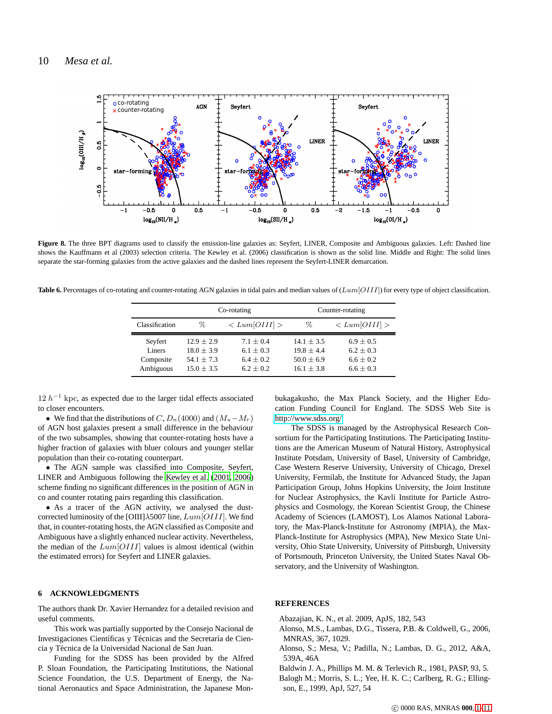

<span id="page-9-5"></span>**Figure 8.** The three BPT diagrams used to classify the emission-line galaxies as: Seyfert, LINER, Composite and Ambiguous galaxies. Left: Dashed line shows the Kauffmann et al (2003) selection criteria. The Kewley et al. (2006) classification is shown as the solid line. Middle and Right: The solid lines separate the star-forming galaxies from the active galaxies and the dashed lines represent the Seyfert-LINER demarcation.

Table 6. Percentages of co-rotating and counter-rotating AGN galaxies in tidal pairs and median values of (Lum[OIII]) for every type of object classification.

|                                             | Co-rotating                                                  |                                                          | Counter-rotating                                             |                                                              |
|---------------------------------------------|--------------------------------------------------------------|----------------------------------------------------------|--------------------------------------------------------------|--------------------------------------------------------------|
| Classification                              | $\%$                                                         | $\langle Lum[OIII] \rangle$                              | %                                                            | $\langle Lum[OIII] \rangle$                                  |
| Seyfert<br>Liners<br>Composite<br>Ambiguous | $12.9 + 2.9$<br>$18.0 + 3.9$<br>$54.1 + 7.3$<br>$15.0 + 3.5$ | $7.1 + 0.4$<br>$6.1 + 0.3$<br>$6.4 + 0.2$<br>$6.2 + 0.2$ | $14.1 + 3.5$<br>$19.8 + 4.4$<br>$50.0 + 6.9$<br>$16.1 + 3.8$ | $6.9 + 0.5$<br>$6.2 + 0.3$<br>$6.6 \pm 0.2$<br>$6.6 \pm 0.3$ |

 $12 h^{-1}$  kpc, as expected due to the larger tidal effects associated to closer encounters.

• We find that the distributions of C,  $D_n(4000)$  and  $(M_u-M_r)$ of AGN host galaxies present a small difference in the behaviour of the two subsamples, showing that counter-rotating hosts have a higher fraction of galaxies with bluer colours and younger stellar population than their co-rotating counterpart.

• The AGN sample was classified into Composite, Seyfert, LINER and Ambiguous following the [Kewley et al. \(2001](#page-10-50), [2006](#page-10-51)) scheme finding no significant differences in the position of AGN in co and counter rotating pairs regarding this classification.

• As a tracer of the AGN activity, we analysed the dustcorrected luminosity of the [OIII] $\lambda$ 5007 line,  $Lum[OIII]$ . We find that, in counter-rotating hosts, the AGN classified as Composite and Ambiguous have a slightly enhanced nuclear activity. Nevertheless, the median of the  $Lum[OIII]$  values is almost identical (within the estimated errors) for Seyfert and LINER galaxies.

### **6 ACKNOWLEDGMENTS**

The authors thank Dr. Xavier Hernandez for a detailed revision and useful comments.

This work was partially supported by the Consejo Nacional de Investigaciones Científicas y Técnicas and the Secretaría de Ciencia y Técnica de la Universidad Nacional de San Juan.

Funding for the SDSS has been provided by the Alfred P. Sloan Foundation, the Participating Institutions, the National Science Foundation, the U.S. Department of Energy, the National Aeronautics and Space Administration, the Japanese Mon-

bukagakusho, the Max Planck Society, and the Higher Education Funding Council for England. The SDSS Web Site is [http://www.sdss.org/.](http://www.sdss.org/)

The SDSS is managed by the Astrophysical Research Consortium for the Participating Institutions. The Participating Institutions are the American Museum of Natural History, Astrophysical Institute Potsdam, University of Basel, University of Cambridge, Case Western Reserve University, University of Chicago, Drexel University, Fermilab, the Institute for Advanced Study, the Japan Participation Group, Johns Hopkins University, the Joint Institute for Nuclear Astrophysics, the Kavli Institute for Particle Astrophysics and Cosmology, the Korean Scientist Group, the Chinese Academy of Sciences (LAMOST), Los Alamos National Laboratory, the Max-Planck-Institute for Astronomy (MPIA), the Max-Planck-Institute for Astrophysics (MPA), New Mexico State University, Ohio State University, University of Pittsburgh, University of Portsmouth, Princeton University, the United States Naval Observatory, and the University of Washington.

### **REFERENCES**

- <span id="page-9-2"></span>Abazajian, K. N., et al. 2009, ApJS, 182, 543
- <span id="page-9-0"></span>Alonso, M.S., Lambas, D.G., Tissera, P.B. & Coldwell, G., 2006, MNRAS, 367, 1029.
- <span id="page-9-1"></span>Alonso, S.; Mesa, V.; Padilla, N.; Lambas, D. G., 2012, A&A, 539A, 46A
- <span id="page-9-4"></span>Baldwin J. A., Phillips M. M. & Terlevich R., 1981, PASP, 93, 5.
- <span id="page-9-3"></span>Balogh M.; Morris, S. L.; Yee, H. K. C.; Carlberg, R. G.; Ellingson, E., 1999, ApJ, 527, 54